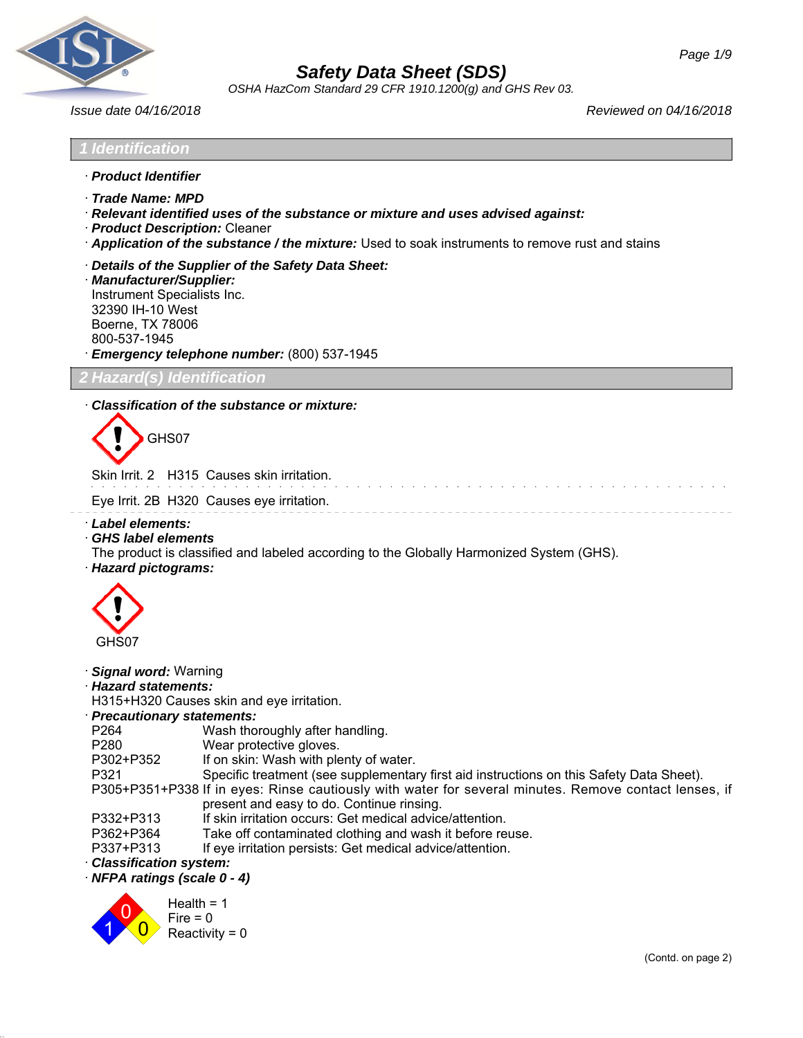

*OSHA HazCom Standard 29 CFR 1910.1200(g) and GHS Rev 03.*

*Issue date 04/16/2018 Reviewed on 04/16/2018*

and the state of the state of the state of the

# *1 Identification*

- · *Product Identifier*
- · *Trade Name: MPD*
- · *Relevant identified uses of the substance or mixture and uses advised against:*
- · *Product Description:* Cleaner
- · *Application of the substance / the mixture:* Used to soak instruments to remove rust and stains
- · *Details of the Supplier of the Safety Data Sheet:*

· *Manufacturer/Supplier:* Instrument Specialists Inc. 32390 IH-10 West Boerne, TX 78006 800-537-1945 · *Emergency telephone number:* (800) 537-1945

*2 Hazard(s) Identification*

## · *Classification of the substance or mixture:*

GHS07

Skin Irrit. 2 H315 Causes skin irritation.

Eye Irrit. 2B H320 Causes eye irritation.

- · *Label elements:*
- · *GHS label elements*

The product is classified and labeled according to the Globally Harmonized System (GHS).

· *Hazard pictograms:*



## · *Signal word:* Warning

· *Hazard statements:*

H315+H320 Causes skin and eye irritation.

#### · *Precautionary statements:*

| , roomanonary sunchiones. |                                                                                                       |
|---------------------------|-------------------------------------------------------------------------------------------------------|
| P <sub>264</sub>          | Wash thoroughly after handling.                                                                       |
| P280                      | Wear protective gloves.                                                                               |
| P302+P352                 | If on skin: Wash with plenty of water.                                                                |
| P321                      | Specific treatment (see supplementary first aid instructions on this Safety Data Sheet).              |
|                           | P305+P351+P338 If in eyes: Rinse cautiously with water for several minutes. Remove contact lenses, if |
|                           | present and easy to do. Continue rinsing.                                                             |
| P332+P313                 | If skin irritation occurs: Get medical advice/attention.                                              |
| P362+P364                 | Take off contaminated clothing and wash it before reuse.                                              |

- P337+P313 If eye irritation persists: Get medical advice/attention.
- · *Classification system:*

· *NFPA ratings (scale 0 - 4)*

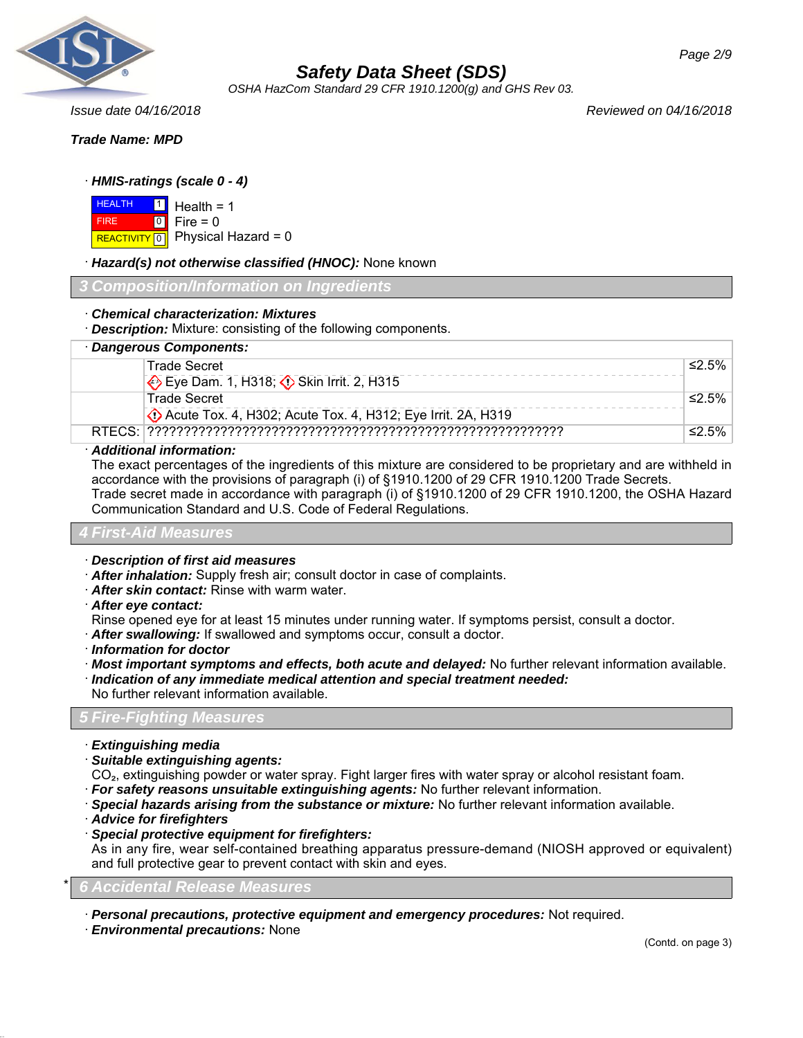

*OSHA HazCom Standard 29 CFR 1910.1200(g) and GHS Rev 03.*

*Page 2/9*

## *Trade Name: MPD*

## · *HMIS-ratings (scale 0 - 4)*

| <b>HEALTH</b> | $1 \vert$ | Healt  |
|---------------|-----------|--------|
| <b>FIRF</b>   | 10 I      | Fire = |
| REACTIVITY 0  |           | Phys   |

th =  $1$  $= 0$  $\delta$ ical Hazard = 0

## · *Hazard(s) not otherwise classified (HNOC):* None known

#### *3 Composition/Information on Ingredients*

## · *Chemical characterization: Mixtures*

· *Description:* Mixture: consisting of the following components.

| · Dangerous Components:                                      |       |
|--------------------------------------------------------------|-------|
| Trade Secret                                                 | ≤2.5% |
| Eye Dam. 1, H318; C Skin Irrit. 2, H315                      |       |
| <b>Trade Secret</b>                                          | ≤2.5% |
| Decute Tox. 4, H302; Acute Tox. 4, H312; Eye Irrit. 2A, H319 |       |
|                                                              | ≤2.5% |

#### · *Additional information:*

The exact percentages of the ingredients of this mixture are considered to be proprietary and are withheld in accordance with the provisions of paragraph (i) of §1910.1200 of 29 CFR 1910.1200 Trade Secrets. Trade secret made in accordance with paragraph (i) of §1910.1200 of 29 CFR 1910.1200, the OSHA Hazard Communication Standard and U.S. Code of Federal Regulations.

## *4 First-Aid Measures*

- · *Description of first aid measures*
- · *After inhalation:* Supply fresh air; consult doctor in case of complaints.
- · *After skin contact:* Rinse with warm water.
- · *After eye contact:*
- Rinse opened eye for at least 15 minutes under running water. If symptoms persist, consult a doctor.
- · *After swallowing:* If swallowed and symptoms occur, consult a doctor.
- · *Information for doctor*
- · *Most important symptoms and effects, both acute and delayed:* No further relevant information available.
- · *Indication of any immediate medical attention and special treatment needed:*
- No further relevant information available.

## *5 Fire-Fighting Measures*

- · *Extinguishing media*
- · *Suitable extinguishing agents:*
- CO₂, extinguishing powder or water spray. Fight larger fires with water spray or alcohol resistant foam.
- · *For safety reasons unsuitable extinguishing agents:* No further relevant information.
- · *Special hazards arising from the substance or mixture:* No further relevant information available.
- · *Advice for firefighters*
- · *Special protective equipment for firefighters:*

As in any fire, wear self-contained breathing apparatus pressure-demand (NIOSH approved or equivalent) and full protective gear to prevent contact with skin and eyes.

## \* *6 Accidental Release Measures*

· *Personal precautions, protective equipment and emergency procedures:* Not required.

· *Environmental precautions:* None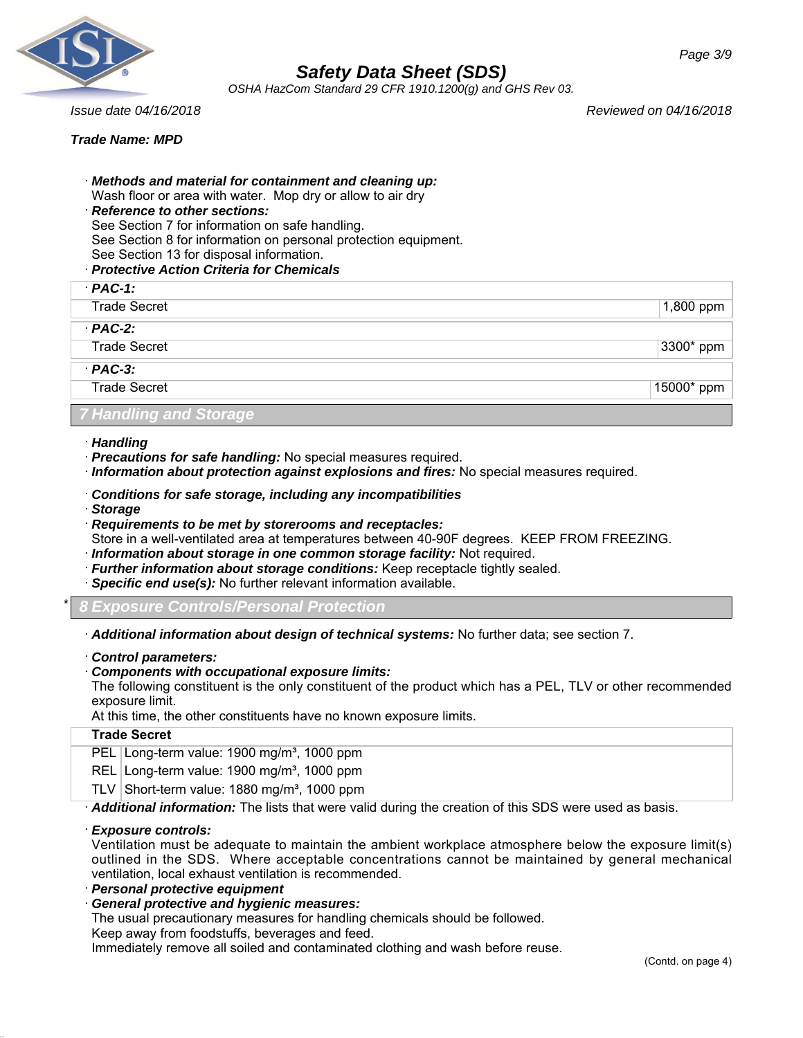

*OSHA HazCom Standard 29 CFR 1910.1200(g) and GHS Rev 03.*

*Issue date 04/16/2018 Reviewed on 04/16/2018*

*Trade Name: MPD*

- · *Methods and material for containment and cleaning up:*
- Wash floor or area with water. Mop dry or allow to air dry
- · *Reference to other sections:*

See Section 7 for information on safe handling.

- See Section 8 for information on personal protection equipment.
- See Section 13 for disposal information.
- · *Protective Action Criteria for Chemicals*

| $PAC-1$ :                     |            |
|-------------------------------|------------|
| <b>Trade Secret</b>           | 1,800 ppm  |
| $PAC-2$ :                     |            |
| <b>Trade Secret</b>           | 3300* ppm  |
| $PAC-3$ :                     |            |
| <b>Trade Secret</b>           | 15000* ppm |
| <b>7 Handling and Storage</b> |            |

- · *Handling*
- · *Precautions for safe handling:* No special measures required.
- · *Information about protection against explosions and fires:* No special measures required.
- · *Conditions for safe storage, including any incompatibilities*
- · *Storage*
- · *Requirements to be met by storerooms and receptacles:*
- Store in a well-ventilated area at temperatures between 40-90F degrees. KEEP FROM FREEZING.
- · *Information about storage in one common storage facility:* Not required.
- · *Further information about storage conditions:* Keep receptacle tightly sealed.
- · *Specific end use(s):* No further relevant information available.
- *Exposure Controls/Personal Protection*
- · *Additional information about design of technical systems:* No further data; see section 7.
- · *Control parameters:*
- · *Components with occupational exposure limits:*

The following constituent is the only constituent of the product which has a PEL, TLV or other recommended exposure limit.

At this time, the other constituents have no known exposure limits.

## **Trade Secret**

PEL Long-term value: 1900 mg/m<sup>3</sup>, 1000 ppm

REL Long-term value: 1900 mg/m<sup>3</sup>, 1000 ppm

TLV Short-term value:  $1880$  mg/m<sup>3</sup>, 1000 ppm

· *Additional information:* The lists that were valid during the creation of this SDS were used as basis.

## · *Exposure controls:*

Ventilation must be adequate to maintain the ambient workplace atmosphere below the exposure limit(s) outlined in the SDS. Where acceptable concentrations cannot be maintained by general mechanical ventilation, local exhaust ventilation is recommended.

- · *Personal protective equipment*
- · *General protective and hygienic measures:*

The usual precautionary measures for handling chemicals should be followed.

Keep away from foodstuffs, beverages and feed.

Immediately remove all soiled and contaminated clothing and wash before reuse.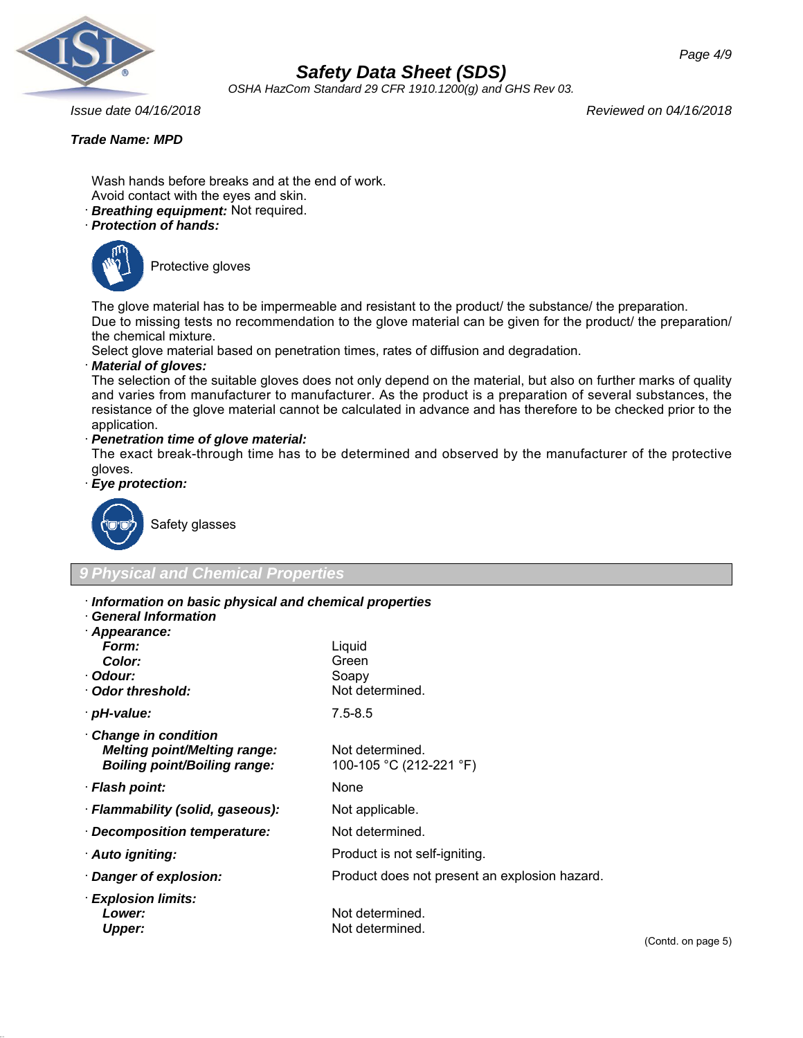

*OSHA HazCom Standard 29 CFR 1910.1200(g) and GHS Rev 03.*

*Issue date 04/16/2018 Reviewed on 04/16/2018*

## *Trade Name: MPD*

Wash hands before breaks and at the end of work. Avoid contact with the eyes and skin.

- · *Breathing equipment:* Not required.
- · *Protection of hands:*



Protective gloves

The glove material has to be impermeable and resistant to the product/ the substance/ the preparation.

Due to missing tests no recommendation to the glove material can be given for the product/ the preparation/ the chemical mixture.

Select glove material based on penetration times, rates of diffusion and degradation.

## · *Material of gloves:*

The selection of the suitable gloves does not only depend on the material, but also on further marks of quality and varies from manufacturer to manufacturer. As the product is a preparation of several substances, the resistance of the glove material cannot be calculated in advance and has therefore to be checked prior to the application.

## · *Penetration time of glove material:*

The exact break-through time has to be determined and observed by the manufacturer of the protective gloves.

· *Eye protection:*



Safety glasses

## *9 Physical and Chemical Properties*

- · *Information on basic physical and chemical properties*
- · *General Information*

| · Appearance: |  |
|---------------|--|
| Form:         |  |

| <b>Color:</b>                                                                                            | Green                                         |
|----------------------------------------------------------------------------------------------------------|-----------------------------------------------|
| · Odour:                                                                                                 | Soapy                                         |
| Odor threshold:                                                                                          | Not determined.                               |
| · pH-value:                                                                                              | $7.5 - 8.5$                                   |
| <b>Change in condition</b><br><b>Melting point/Melting range:</b><br><b>Boiling point/Boiling range:</b> | Not determined.<br>100-105 °C (212-221 °F)    |
| · Flash point:                                                                                           | None                                          |
| · Flammability (solid, gaseous):                                                                         | Not applicable.                               |
| Decomposition temperature:                                                                               | Not determined.                               |
| · Auto igniting:                                                                                         | Product is not self-igniting.                 |
| Danger of explosion:                                                                                     | Product does not present an explosion hazard. |
| <b>Explosion limits:</b><br>Lower:<br><b>Upper:</b>                                                      | Not determined.<br>Not determined.            |
|                                                                                                          |                                               |

Liquid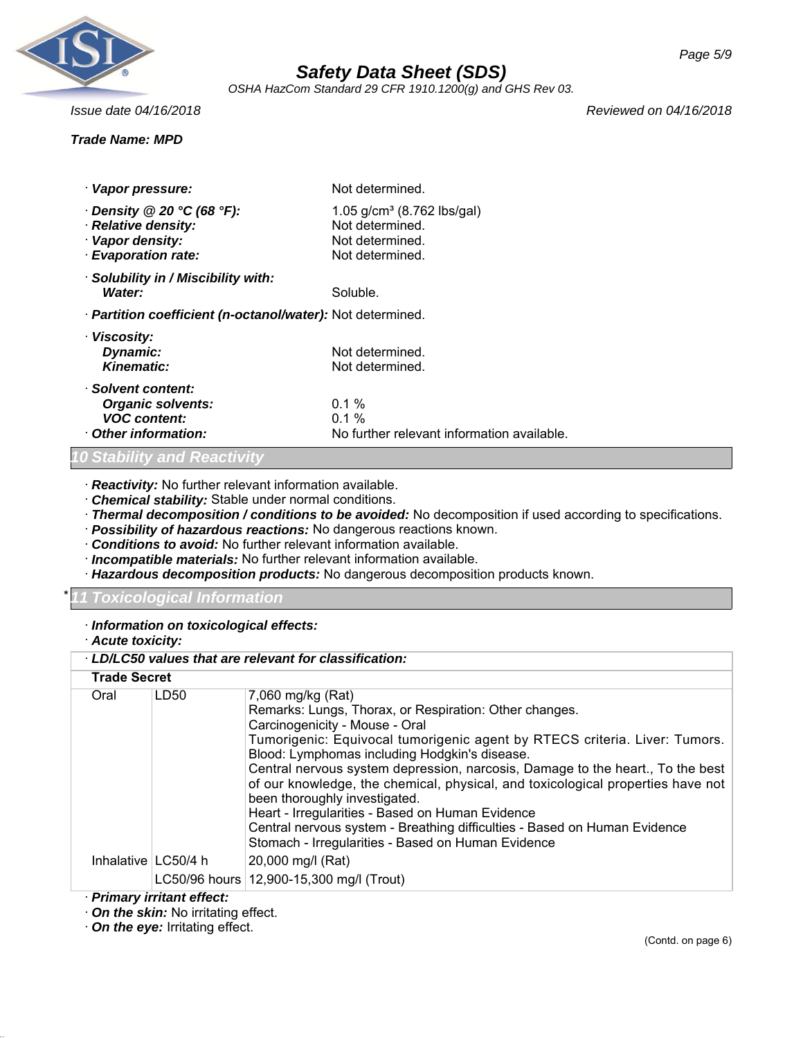

*OSHA HazCom Standard 29 CFR 1910.1200(g) and GHS Rev 03.*

## *Trade Name: MPD*

*Issue date 04/16/2018 Reviewed on 04/16/2018*

| · Vapor pressure:                                                                                  | Not determined.                                                                        |
|----------------------------------------------------------------------------------------------------|----------------------------------------------------------------------------------------|
| $\cdot$ Density @ 20 °C (68 °F):<br>· Relative density:<br>· Vapor density:<br>· Evaporation rate: | 1.05 $g/cm^3$ (8.762 lbs/gal)<br>Not determined.<br>Not determined.<br>Not determined. |
| Solubility in / Miscibility with:<br>Water:                                                        | Soluble.                                                                               |
| · Partition coefficient (n-octanol/water): Not determined.                                         |                                                                                        |
| · Viscosity:<br>Dynamic:<br>Kinematic:                                                             | Not determined.<br>Not determined.                                                     |
| · Solvent content:<br><b>Organic solvents:</b><br><b>VOC content:</b><br>Other information:        | $0.1\%$<br>$0.1 \%$<br>No further relevant information available.                      |

#### *<i>And Reactivi*

· *Reactivity:* No further relevant information available.

· *Chemical stability:* Stable under normal conditions.

· *Thermal decomposition / conditions to be avoided:* No decomposition if used according to specifications.

· *Possibility of hazardous reactions:* No dangerous reactions known.

· *Conditions to avoid:* No further relevant information available.

· *Incompatible materials:* No further relevant information available.

· *Hazardous decomposition products:* No dangerous decomposition products known.

## \* *11 Toxicological Information*

#### · *Information on toxicological effects:*

· *Acute toxicity:*

|                     |                       | LD/LC50 values that are relevant for classification:                                                                                                                                                                                                                                                                                                                                                                                                                                                                                                                                                                                      |
|---------------------|-----------------------|-------------------------------------------------------------------------------------------------------------------------------------------------------------------------------------------------------------------------------------------------------------------------------------------------------------------------------------------------------------------------------------------------------------------------------------------------------------------------------------------------------------------------------------------------------------------------------------------------------------------------------------------|
| <b>Trade Secret</b> |                       |                                                                                                                                                                                                                                                                                                                                                                                                                                                                                                                                                                                                                                           |
| Oral                | LD50                  | 7,060 mg/kg (Rat)<br>Remarks: Lungs, Thorax, or Respiration: Other changes.<br>Carcinogenicity - Mouse - Oral<br>Tumorigenic: Equivocal tumorigenic agent by RTECS criteria. Liver: Tumors.<br>Blood: Lymphomas including Hodgkin's disease.<br>Central nervous system depression, narcosis, Damage to the heart., To the best<br>of our knowledge, the chemical, physical, and toxicological properties have not<br>been thoroughly investigated.<br>Heart - Irregularities - Based on Human Evidence<br>Central nervous system - Breathing difficulties - Based on Human Evidence<br>Stomach - Irregularities - Based on Human Evidence |
|                     | Inhalative   LC50/4 h | 20,000 mg/l (Rat)<br>LC50/96 hours   12,900-15,300 mg/l (Trout)                                                                                                                                                                                                                                                                                                                                                                                                                                                                                                                                                                           |

## · *Primary irritant effect:*

· *On the skin:* No irritating effect.

· *On the eye:* Irritating effect.

*Page 5/9*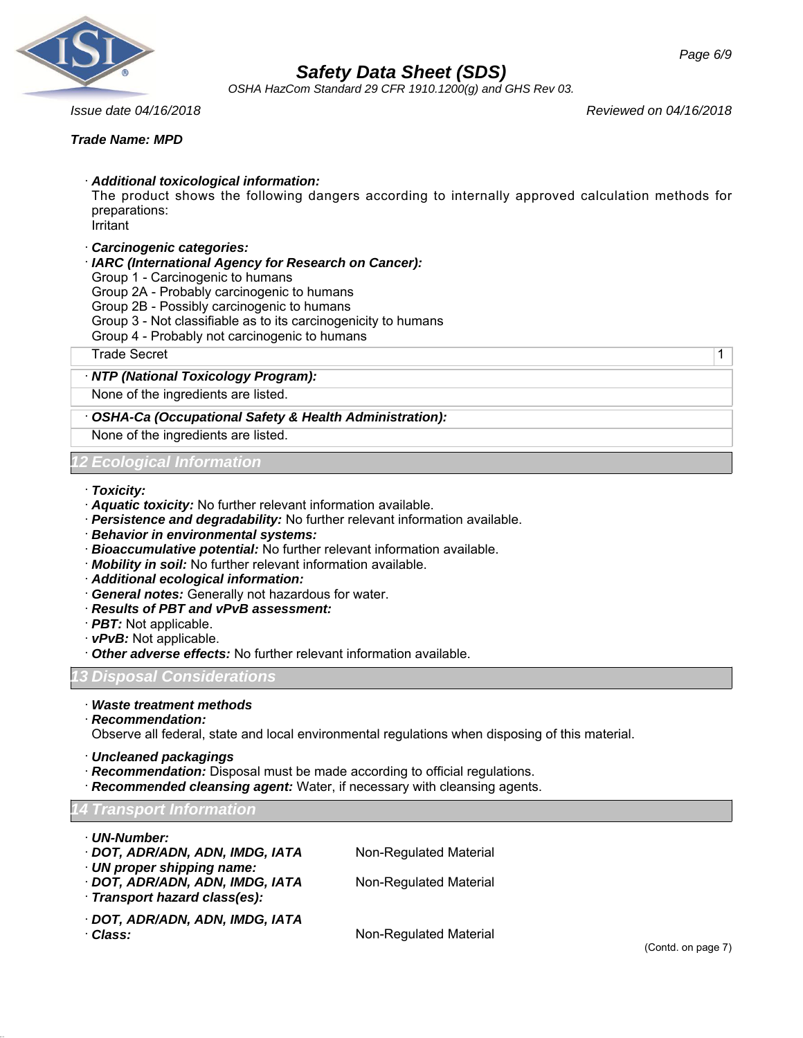

*OSHA HazCom Standard 29 CFR 1910.1200(g) and GHS Rev 03.*

*Issue date 04/16/2018 Reviewed on 04/16/2018*

## *Trade Name: MPD*

· *Additional toxicological information:*

The product shows the following dangers according to internally approved calculation methods for preparations:

Irritant

- · *Carcinogenic categories:*
- · *IARC (International Agency for Research on Cancer):*
- Group 1 Carcinogenic to humans
- Group 2A Probably carcinogenic to humans
- Group 2B Possibly carcinogenic to humans
- Group 3 Not classifiable as to its carcinogenicity to humans
- Group 4 Probably not carcinogenic to humans

Trade Secret 2008 and 2009 and 2009 and 2009 and 2009 and 2009 and 2009 and 2009 and 2009 and 2009 and 2009 and 2009 and 2009 and 2009 and 2009 and 2009 and 2009 and 2009 and 2009 and 2009 and 2009 and 2009 and 2009 and 20

## · *NTP (National Toxicology Program):*

None of the ingredients are listed.

## · *OSHA-Ca (Occupational Safety & Health Administration):*

None of the ingredients are listed.

## *Ecological Information*

#### · *Toxicity:*

- · *Aquatic toxicity:* No further relevant information available.
- · *Persistence and degradability:* No further relevant information available.
- · *Behavior in environmental systems:*
- · *Bioaccumulative potential:* No further relevant information available.
- · *Mobility in soil:* No further relevant information available.
- · *Additional ecological information:*
- · *General notes:* Generally not hazardous for water.
- · *Results of PBT and vPvB assessment:*
- · *PBT:* Not applicable.
- · *vPvB:* Not applicable.
- · *Other adverse effects:* No further relevant information available.

## *13 Disposal Considerations*

- · *Waste treatment methods*
- · *Recommendation:*

Observe all federal, state and local environmental regulations when disposing of this material.

- · *Uncleaned packagings*
- · *Recommendation:* Disposal must be made according to official regulations.
- · *Recommended cleansing agent:* Water, if necessary with cleansing agents.

## *14 Transport Information*

- · *UN-Number:*
- · **DOT, ADR/ADN, ADN, IMDG, IATA** Non-Regulated Material
- · *UN proper shipping name:*
- · **DOT, ADR/ADN, ADN, IMDG, IATA** Non-Regulated Material
- 
- · *Transport hazard class(es):*
- · *DOT, ADR/ADN, ADN, IMDG, IATA*

· *Class:* Non-Regulated Material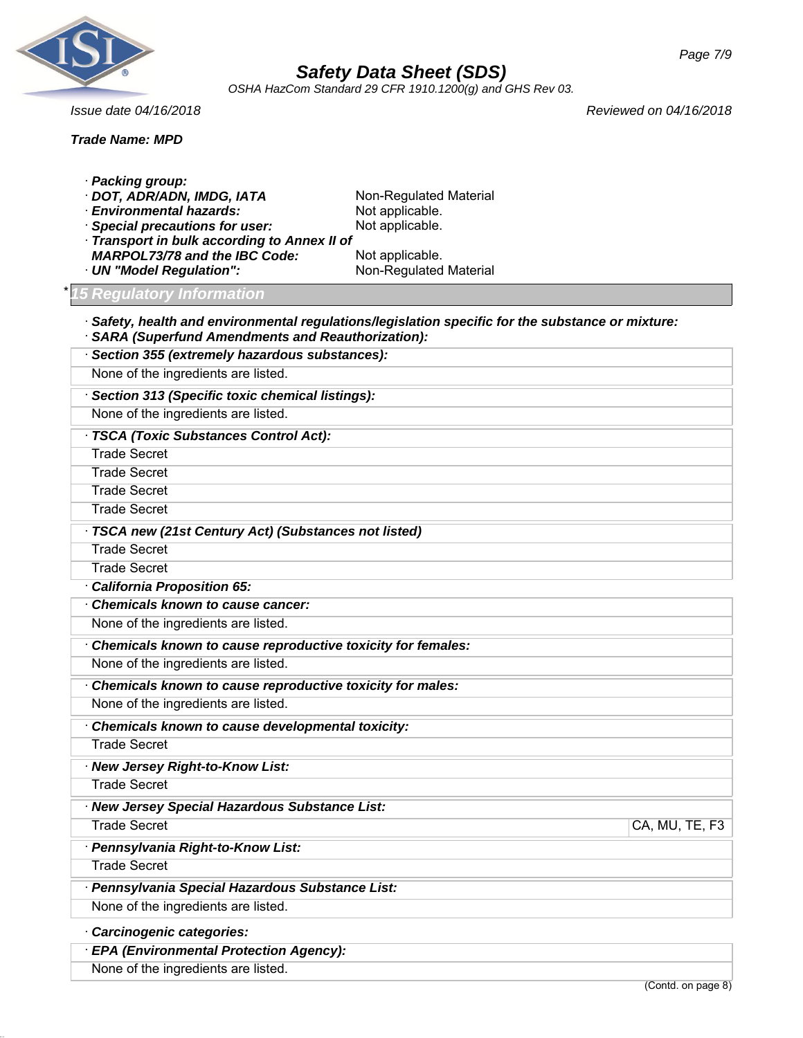

*OSHA HazCom Standard 29 CFR 1910.1200(g) and GHS Rev 03.*

*Issue date 04/16/2018 Reviewed on 04/16/2018*

| <b>Trade Name: MPD</b>                                                                                                                                                                                                                       |                                                                                                           |                |
|----------------------------------------------------------------------------------------------------------------------------------------------------------------------------------------------------------------------------------------------|-----------------------------------------------------------------------------------------------------------|----------------|
| · Packing group:<br>DOT, ADR/ADN, IMDG, IATA<br><b>Environmental hazards:</b><br><b>Special precautions for user:</b><br>Transport in bulk according to Annex II of<br><b>MARPOL73/78 and the IBC Code:</b><br><b>UN "Model Regulation":</b> | Non-Regulated Material<br>Not applicable.<br>Not applicable.<br>Not applicable.<br>Non-Regulated Material |                |
| <b>15 Regulatory Information</b>                                                                                                                                                                                                             |                                                                                                           |                |
| <b>SARA (Superfund Amendments and Reauthorization):</b><br>· Section 355 (extremely hazardous substances):                                                                                                                                   | Safety, health and environmental regulations/legislation specific for the substance or mixture:           |                |
| None of the ingredients are listed.                                                                                                                                                                                                          |                                                                                                           |                |
| · Section 313 (Specific toxic chemical listings):                                                                                                                                                                                            |                                                                                                           |                |
| None of the ingredients are listed.                                                                                                                                                                                                          |                                                                                                           |                |
| · TSCA (Toxic Substances Control Act):                                                                                                                                                                                                       |                                                                                                           |                |
| <b>Trade Secret</b>                                                                                                                                                                                                                          |                                                                                                           |                |
| <b>Trade Secret</b>                                                                                                                                                                                                                          |                                                                                                           |                |
| <b>Trade Secret</b>                                                                                                                                                                                                                          |                                                                                                           |                |
| <b>Trade Secret</b>                                                                                                                                                                                                                          |                                                                                                           |                |
| TSCA new (21st Century Act) (Substances not listed)                                                                                                                                                                                          |                                                                                                           |                |
| <b>Trade Secret</b>                                                                                                                                                                                                                          |                                                                                                           |                |
| <b>Trade Secret</b>                                                                                                                                                                                                                          |                                                                                                           |                |
| California Proposition 65:                                                                                                                                                                                                                   |                                                                                                           |                |
| Chemicals known to cause cancer:                                                                                                                                                                                                             |                                                                                                           |                |
| None of the ingredients are listed.                                                                                                                                                                                                          |                                                                                                           |                |
| Chemicals known to cause reproductive toxicity for females:                                                                                                                                                                                  |                                                                                                           |                |
| None of the ingredients are listed.                                                                                                                                                                                                          |                                                                                                           |                |
| Chemicals known to cause reproductive toxicity for males:                                                                                                                                                                                    |                                                                                                           |                |
| None of the ingredients are listed.                                                                                                                                                                                                          |                                                                                                           |                |
| Chemicals known to cause developmental toxicity:                                                                                                                                                                                             |                                                                                                           |                |
| <b>Trade Secret</b>                                                                                                                                                                                                                          |                                                                                                           |                |
| · New Jersey Right-to-Know List:                                                                                                                                                                                                             |                                                                                                           |                |
| <b>Trade Secret</b>                                                                                                                                                                                                                          |                                                                                                           |                |
| · New Jersey Special Hazardous Substance List:                                                                                                                                                                                               |                                                                                                           |                |
| <b>Trade Secret</b>                                                                                                                                                                                                                          |                                                                                                           | CA, MU, TE, F3 |
| · Pennsylvania Right-to-Know List:                                                                                                                                                                                                           |                                                                                                           |                |
| <b>Trade Secret</b>                                                                                                                                                                                                                          |                                                                                                           |                |
| · Pennsylvania Special Hazardous Substance List:                                                                                                                                                                                             |                                                                                                           |                |
| None of the ingredients are listed.                                                                                                                                                                                                          |                                                                                                           |                |
| Carcinogenic categories:                                                                                                                                                                                                                     |                                                                                                           |                |
| · EPA (Environmental Protection Agency):                                                                                                                                                                                                     |                                                                                                           |                |
| None of the ingredients are listed.                                                                                                                                                                                                          |                                                                                                           |                |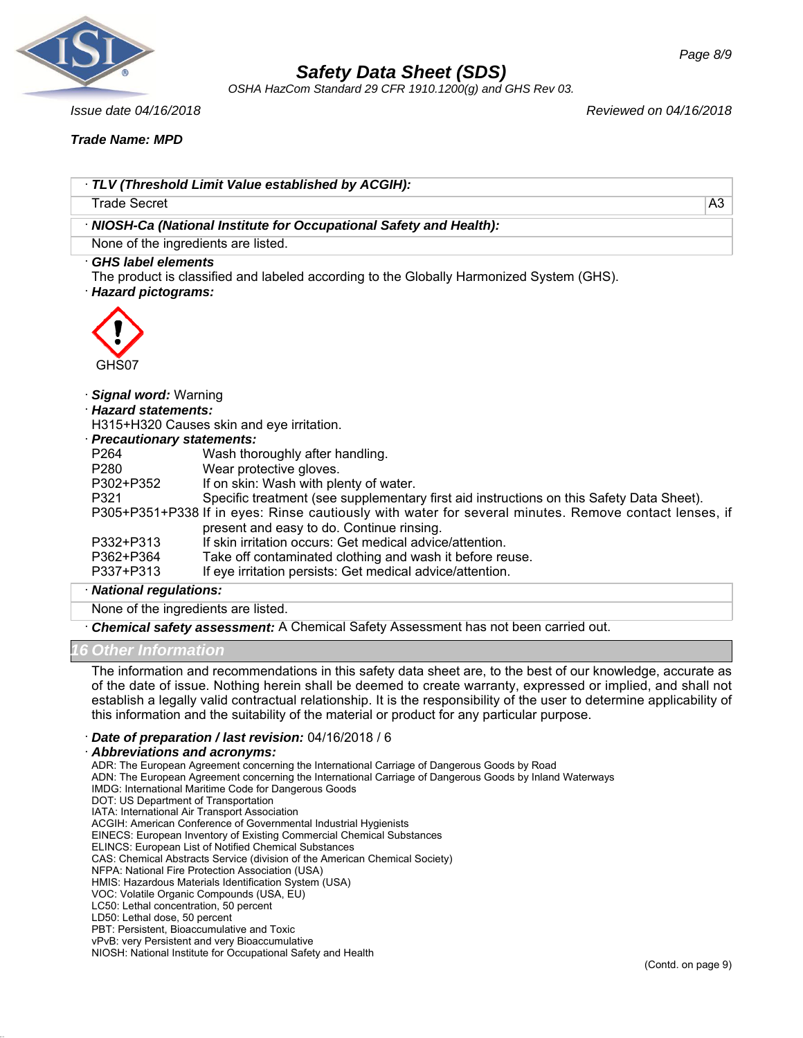

*OSHA HazCom Standard 29 CFR 1910.1200(g) and GHS Rev 03.*

*Issue date 04/16/2018 Reviewed on 04/16/2018*

*Trade Name: MPD*

|                                                   | TLV (Threshold Limit Value established by ACGIH):                                                                                                  |                |
|---------------------------------------------------|----------------------------------------------------------------------------------------------------------------------------------------------------|----------------|
| <b>Trade Secret</b>                               |                                                                                                                                                    | A <sub>3</sub> |
|                                                   |                                                                                                                                                    |                |
|                                                   | · NIOSH-Ca (National Institute for Occupational Safety and Health):                                                                                |                |
|                                                   | None of the ingredients are listed.                                                                                                                |                |
| <b>GHS label elements</b><br>· Hazard pictograms: | The product is classified and labeled according to the Globally Harmonized System (GHS).                                                           |                |
| GHS07                                             |                                                                                                                                                    |                |
| · Signal word: Warning                            |                                                                                                                                                    |                |
| · Hazard statements:                              |                                                                                                                                                    |                |
|                                                   | H315+H320 Causes skin and eye irritation.                                                                                                          |                |
| · Precautionary statements:                       |                                                                                                                                                    |                |
| P264                                              | Wash thoroughly after handling.                                                                                                                    |                |
| P <sub>280</sub>                                  | Wear protective gloves.                                                                                                                            |                |
| P302+P352                                         | If on skin: Wash with plenty of water.                                                                                                             |                |
| P321                                              | Specific treatment (see supplementary first aid instructions on this Safety Data Sheet).                                                           |                |
|                                                   | P305+P351+P338 If in eyes: Rinse cautiously with water for several minutes. Remove contact lenses, if<br>present and easy to do. Continue rinsing. |                |
| P332+P313                                         | If skin irritation occurs: Get medical advice/attention.                                                                                           |                |
| P362+P364                                         | Take off contaminated clothing and wash it before reuse.                                                                                           |                |
| P337+P313                                         | If eye irritation persists: Get medical advice/attention.                                                                                          |                |
| · National regulations:                           |                                                                                                                                                    |                |
|                                                   | None of the ingredients are listed.                                                                                                                |                |
|                                                   | Chemical safety assessment: A Chemical Safety Assessment has not been carried out.                                                                 |                |

## *16 Other Information*

The information and recommendations in this safety data sheet are, to the best of our knowledge, accurate as of the date of issue. Nothing herein shall be deemed to create warranty, expressed or implied, and shall not establish a legally valid contractual relationship. It is the responsibility of the user to determine applicability of this information and the suitability of the material or product for any particular purpose.

· *Date of preparation / last revision:* 04/16/2018 / 6

#### · *Abbreviations and acronyms:*

ADR: The European Agreement concerning the International Carriage of Dangerous Goods by Road

ADN: The European Agreement concerning the International Carriage of Dangerous Goods by Inland Waterways

- IMDG: International Maritime Code for Dangerous Goods
- DOT: US Department of Transportation

IATA: International Air Transport Association

ACGIH: American Conference of Governmental Industrial Hygienists

EINECS: European Inventory of Existing Commercial Chemical Substances

ELINCS: European List of Notified Chemical Substances

- CAS: Chemical Abstracts Service (division of the American Chemical Society)
- NFPA: National Fire Protection Association (USA)

HMIS: Hazardous Materials Identification System (USA)

VOC: Volatile Organic Compounds (USA, EU) LC50: Lethal concentration, 50 percent

- 
- LD50: Lethal dose, 50 percent

PBT: Persistent, Bioaccumulative and Toxic vPvB: very Persistent and very Bioaccumulative

NIOSH: National Institute for Occupational Safety and Health